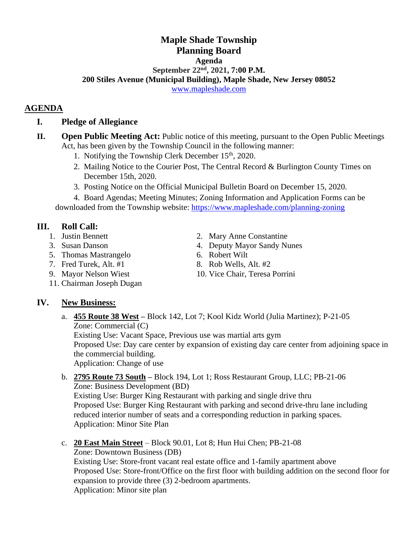#### **Maple Shade Township Planning Board Agenda September 22 nd , 2021, 7:00 P.M. 200 Stiles Avenue (Municipal Building), Maple Shade, New Jersey 08052** [www.mapleshade.com](http://www.mapleshade.com/)

## **AGENDA**

#### **I. Pledge of Allegiance**

- **II. Open Public Meeting Act:** Public notice of this meeting, pursuant to the Open Public Meetings Act, has been given by the Township Council in the following manner:
	- 1. Notifying the Township Clerk December  $15<sup>th</sup>$ , 2020.
	- 2. Mailing Notice to the Courier Post, The Central Record & Burlington County Times on December 15th, 2020.
	- 3. Posting Notice on the Official Municipal Bulletin Board on December 15, 2020.

4. Board Agendas; Meeting Minutes; Zoning Information and Application Forms can be downloaded from the Township website:<https://www.mapleshade.com/planning-zoning>

## **III. Roll Call:**

- 
- 
- 5. Thomas Mastrangelo 6. Robert Wilt
- 
- 
- 11. Chairman Joseph Dugan

# **IV. New Business:**

a. **455 Route 38 West –** Block 142, Lot 7; Kool Kidz World (Julia Martinez); P-21-05 Zone: Commercial (C)

Existing Use: Vacant Space, Previous use was martial arts gym

Proposed Use: Day care center by expansion of existing day care center from adjoining space in the commercial building.

Application: Change of use

b. **2795 Route 73 South –** Block 194, Lot 1; Ross Restaurant Group, LLC; PB-21-06 Zone: Business Development (BD)

Existing Use: Burger King Restaurant with parking and single drive thru Proposed Use: Burger King Restaurant with parking and second drive-thru lane including reduced interior number of seats and a corresponding reduction in parking spaces. Application: Minor Site Plan

c. **20 East Main Street** – Block 90.01, Lot 8; Hun Hui Chen; PB-21-08

Zone: Downtown Business (DB) Existing Use: Store-front vacant real estate office and 1-family apartment above Proposed Use: Store-front/Office on the first floor with building addition on the second floor for expansion to provide three (3) 2-bedroom apartments. Application: Minor site plan

- 1. Justin Bennett 2. Mary Anne Constantine
- 3. Susan Danson 4. Deputy Mayor Sandy Nunes
	-
- 7. Fred Turek, Alt.  $#1$  8. Rob Wells, Alt.  $#2$
- 9. Mayor Nelson Wiest 10. Vice Chair, Teresa Porrini